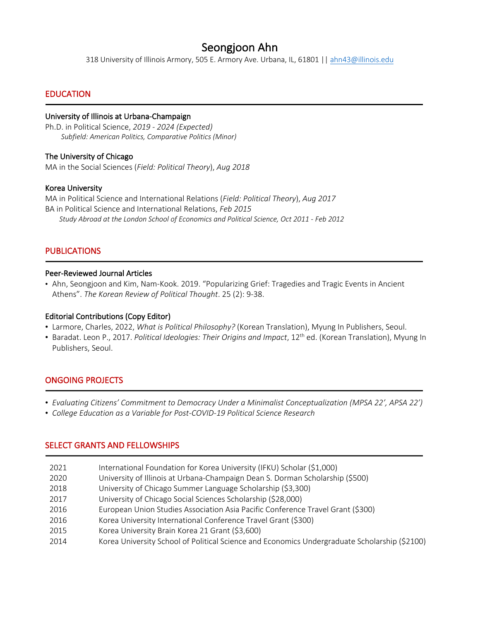Seongjoon Ahn 318 University of Illinois Armory, 505 E. Armory Ave. Urbana, IL, 61801 || ahn43@illinois.edu

# EDUCATION

j

# University of Illinois at Urbana-Champaign

Ph.D. in Political Science, *2019 - 2024 (Expected) Subfield: American Politics, Comparative Politics (Minor)*

## The University of Chicago

MA in the Social Sciences (*Field: Political Theory*), *Aug 2018*

## Korea University

MA in Political Science and International Relations (*Field: Political Theory*), *Aug 2017* BA in Political Science and International Relations, *Feb 2015 Study Abroad at the London School of Economics and Political Science, Oct 2011 - Feb 2012*

# PUBLICATIONS

1

1

1

#### Peer-Reviewed Journal Articles

• Ahn, Seongjoon and Kim, Nam-Kook. 2019. "Popularizing Grief: Tragedies and Tragic Events in Ancient Athens". *The Korean Review of Political Thought*. 25 (2): 9-38.

## Editorial Contributions (Copy Editor)

- Larmore, Charles, 2022, *What is Political Philosophy?* (Korean Translation), Myung In Publishers, Seoul.
- Baradat. Leon P., 2017. *Political Ideologies: Their Origins and Impact*, 12th ed. (Korean Translation), Myung In Publishers, Seoul.

# ONGOING PROJECTS

- *Evaluating Citizens' Commitment to Democracy Under a Minimalist Conceptualization (MPSA 22', APSA 22')*
- *College Education as a Variable for Post-COVID-19 Political Science Research*

## SELECT GRANTS AND FELLOWSHIPS

- 2021 International Foundation for Korea University (IFKU) Scholar (\$1,000)
- 2020 University of Illinois at Urbana-Champaign Dean S. Dorman Scholarship (\$500)
- 2018 University of Chicago Summer Language Scholarship (\$3,300)
- 2017 University of Chicago Social Sciences Scholarship (\$28,000)
- 2016 European Union Studies Association Asia Pacific Conference Travel Grant (\$300)
- 2016 Korea University International Conference Travel Grant (\$300)
- 2015 Korea University Brain Korea 21 Grant (\$3,600)
- 2014 Korea University School of Political Science and Economics Undergraduate Scholarship (\$2100)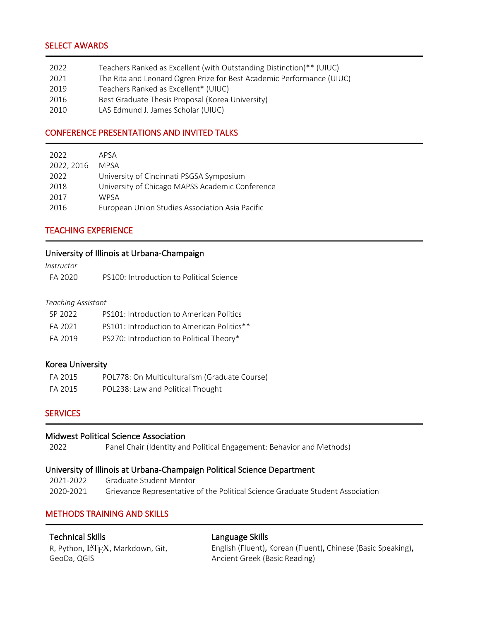# SELECT AWARDS

j

j

| 2022   | Teachers Ranked as Excellent (with Outstanding Distinction)** (UIUC)                                                                                                |
|--------|---------------------------------------------------------------------------------------------------------------------------------------------------------------------|
| 2021   | The Rita and Leonard Ogren Prize for Best Academic Performance (UIUC)                                                                                               |
| $2010$ | $T_{\text{max}}$ and $R_{\text{max}}$ and $R_{\text{max}}$ are $T_{\text{max}}$ and $T_{\text{max}}$ and $T_{\text{max}}$ are $T_{\text{max}}$ and $T_{\text{max}}$ |

- 2019 Teachers Ranked as Excellent\* (UIUC)
- 2016 Best Graduate Thesis Proposal (Korea University)
- 2010 LAS Edmund J. James Scholar (UIUC)

# CONFERENCE PRESENTATIONS AND INVITED TALKS

| 2022       | APSA                                            |
|------------|-------------------------------------------------|
| 2022, 2016 | <b>MPSA</b>                                     |
| 2022       | University of Cincinnati PSGSA Symposium        |
| 2018       | University of Chicago MAPSS Academic Conference |
| 2017       | <b>WPSA</b>                                     |
| 2016       | European Union Studies Association Asia Pacific |

# TEACHING EXPERIENCE

#### University of Illinois at Urbana-Champaign

| Instructor |                                          |
|------------|------------------------------------------|
| FA 2020    | PS100: Introduction to Political Science |

#### *Teaching Assistant*

| SP 2022 | PS101: Introduction to American Politics   |
|---------|--------------------------------------------|
| FA 2021 | PS101: Introduction to American Politics** |
| FA 2019 | PS270: Introduction to Political Theory*   |

## Korea University

| FA 2015 | POL778: On Multiculturalism (Graduate Course) |
|---------|-----------------------------------------------|
| FA 2015 | POL238: Law and Political Thought             |

## **SERVICES**

1

j

## Midwest Political Science Association

2022 Panel Chair (Identity and Political Engagement: Behavior and Methods)

#### University of Illinois at Urbana-Champaign Political Science Department

2021-2022 Graduate Student Mentor 2020-2021 Grievance Representative of the Political Science Graduate Student Association

# METHODS TRAINING AND SKILLS

## Technical Skills

#### Language Skills

R, Python, LAT<sub>F</sub>X, Markdown, Git, GeoDa, QGIS

English (Fluent), Korean (Fluent), Chinese (Basic Speaking), Ancient Greek (Basic Reading)